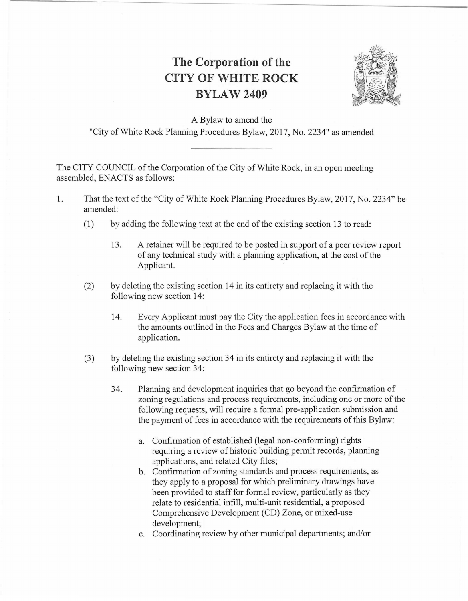## **The Corporation of the CITY OF WHITE ROCK BYLAW2409**



A Bylaw to amend the

"City of White Rock Planning Procedures Bylaw, 2017, No. 2234" as amended

The CITY COUNCIL of the Corporation of the City of White Rock, in an open meeting assembled, ENACTS as follows:

- 1. That the text of the "City of White Rock Planning Procedures Bylaw, 2017, No. 2234" be amended:
	- (1) by adding the following text at the end of the existing section 13 to read:
		- 13. A retainer will be required to be posted in support of a peer review report of any technical study with a planning application, at the cost of the Applicant.
	- (2) by deleting the existing section 14 in its entirety and replacing it with the following new section 14:
		- 14. Every Applicant must pay the City the application fees in accordance with the amounts outlined in the Fees and Charges Bylaw at the time of application.
	- (3) by deleting the existing section 34 in its entirety and replacing it with the following new section 34:
		- 34. Planning and development inquiries that go beyond the confirmation of zoning regulations and process requirements, including one or more of the following requests, will require a formal pre-application submission and the payment of fees in accordance with the requirements of this Bylaw:
			- a. Confirmation of established (legal non-conforming) rights requiring a review of historic building permit records, planning applications, and related City files;
			- b. Confirmation of zoning standards and process requirements, as they apply to a proposal for which preliminary drawings have been provided to staff for formal review, particularly as they relate to residential infill, multi-unit residential, a proposed Comprehensive Development (CD) Zone, or mixed-use development;
			- c. Coordinating review by other municipal departments; and/or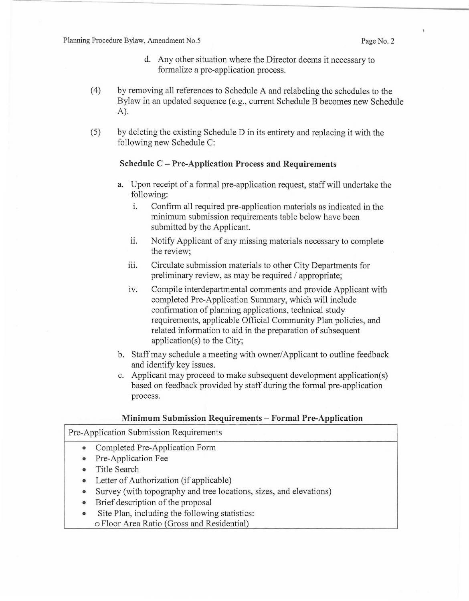- d. Any other situation where the Director deems it necessary to formalize a pre-application process.
- ( 4) by removing all references to Schedule A and relabeling the schedules to the Bylaw in an updated sequence (e.g., current Schedule B becomes new Schedule A).
- (5) by deleting the existing Schedule D in its entirety and replacing it with the following new Schedule C:

## **Schedule C** - **Pre-Application Process and Requirements**

- a. Upon receipt of a formal pre-application request, staff will undertake the following:
	- i. Confirm all required pre-application materials as indicated in the minimum submission requirements table below have been submitted by the Applicant.
	- ii. Notify Applicant of any missing materials necessary to complete the review;
	- iii. Circulate submission materials to other City Departments for preliminary review, as may be required / appropriate;
	- iv. Compile interdepartmental comments and provide Applicant with completed Pre-Application Summary, which will include confinnation of planning applications, technical study requirements, applicable Official Community Plan policies, and related information to aid in the preparation of subsequent application(s) to the City;
- b. Staff may schedule a meeting with owner/ Applicant to outline feedback and identify key issues.
- c. Applicant may proceed to make subsequent development application(s) based on feedback provided by staff during the formal pre-application process.

## **Minimum Submission Requirements - Formal Pre-Application**

| Pre-Application Submission Requirements |                                                                    |  |  |  |
|-----------------------------------------|--------------------------------------------------------------------|--|--|--|
|                                         | • Completed Pre-Application Form                                   |  |  |  |
|                                         | • Pre-Application Fee                                              |  |  |  |
| $\bullet$                               | Title Search                                                       |  |  |  |
|                                         | • Letter of Authorization (if applicable)                          |  |  |  |
| $\bullet$                               | Survey (with topography and tree locations, sizes, and elevations) |  |  |  |
| $\bullet$                               | Brief description of the proposal                                  |  |  |  |
| $\bullet$                               | Site Plan, including the following statistics:                     |  |  |  |
|                                         |                                                                    |  |  |  |

o Floor Area Ratio (Gross and Residential)